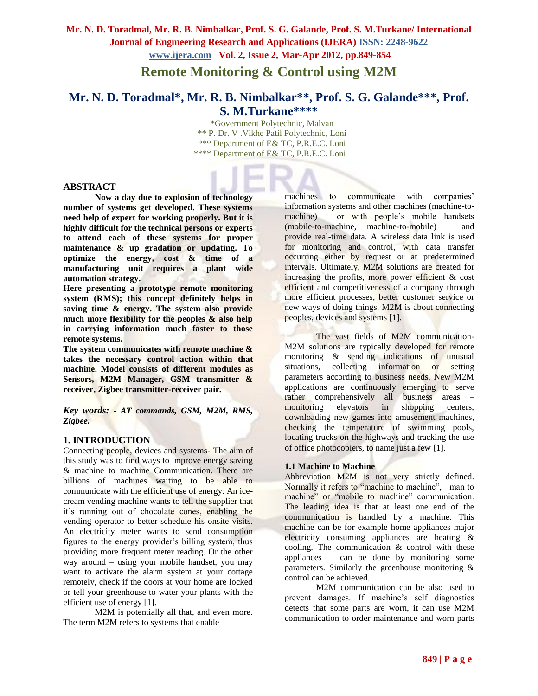**Remote Monitoring & Control using M2M**

# **Mr. N. D. Toradmal\*, Mr. R. B. Nimbalkar\*\*, Prof. S. G. Galande\*\*\*, Prof. S. M.Turkane\*\*\*\***

 \*Government Polytechnic, Malvan \*\* P. Dr. V .Vikhe Patil Polytechnic, Loni \*\*\* Department of E& TC, P.R.E.C. Loni \*\*\*\* Department of E& TC, P.R.E.C. Loni

#### **ABSTRACT**

**Now a day due to explosion of technology number of systems get developed. These systems need help of expert for working properly. But it is highly difficult for the technical persons or experts to attend each of these systems for proper maintenance & up gradation or updating. To optimize the energy, cost & time of a manufacturing unit requires a plant wide automation strategy.**

**Here presenting a prototype remote monitoring system (RMS); this concept definitely helps in saving time & energy. The system also provide much more flexibility for the peoples & also help in carrying information much faster to those remote systems.**

**The system communicates with remote machine & takes the necessary control action within that machine. Model consists of different modules as Sensors, M2M Manager, GSM transmitter & receiver, Zigbee transmitter-receiver pair.** 

*Key words: - AT commands, GSM, M2M, RMS, Zigbee.*

### **1. INTRODUCTION**

Connecting people, devices and systems- The aim of this study was to find ways to improve energy saving & machine to machine Communication. There are billions of machines waiting to be able to communicate with the efficient use of energy. An icecream vending machine wants to tell the supplier that it's running out of chocolate cones, enabling the vending operator to better schedule his onsite visits. An electricity meter wants to send consumption figures to the energy provider's billing system, thus providing more frequent meter reading. Or the other way around – using your mobile handset, you may want to activate the alarm system at your cottage remotely, check if the doors at your home are locked or tell your greenhouse to water your plants with the efficient use of energy [1].

M2M is potentially all that, and even more. The term M2M refers to systems that enable

machines to communicate with companies' information systems and other machines (machine-tomachine) – or with people's mobile handsets (mobile-to-machine, machine-to-mobile) – and provide real-time data. A wireless data link is used for monitoring and control, with data transfer occurring either by request or at predetermined intervals. Ultimately, M2M solutions are created for increasing the profits, more power efficient & cost efficient and competitiveness of a company through more efficient processes, better customer service or new ways of doing things. M2M is about connecting peoples, devices and systems [1].

The vast fields of M2M communication-M2M solutions are typically developed for remote monitoring & sending indications of unusual situations, collecting information or setting parameters according to business needs. New M2M applications are continuously emerging to serve rather comprehensively all business areas – monitoring elevators in shopping centers, downloading new games into amusement machines, checking the temperature of swimming pools, locating trucks on the highways and tracking the use of office photocopiers, to name just a few [1].

#### **1.1 Machine to Machine**

Abbreviation M2M is not very strictly defined. Normally it refers to "machine to machine", man to machine" or "mobile to machine" communication. The leading idea is that at least one end of the communication is handled by a machine. This machine can be for example home appliances major electricity consuming appliances are heating & cooling. The communication & control with these appliances can be done by monitoring some parameters. Similarly the greenhouse monitoring  $\&$ control can be achieved.

M2M communication can be also used to prevent damages. If machine's self diagnostics detects that some parts are worn, it can use M2M communication to order maintenance and worn parts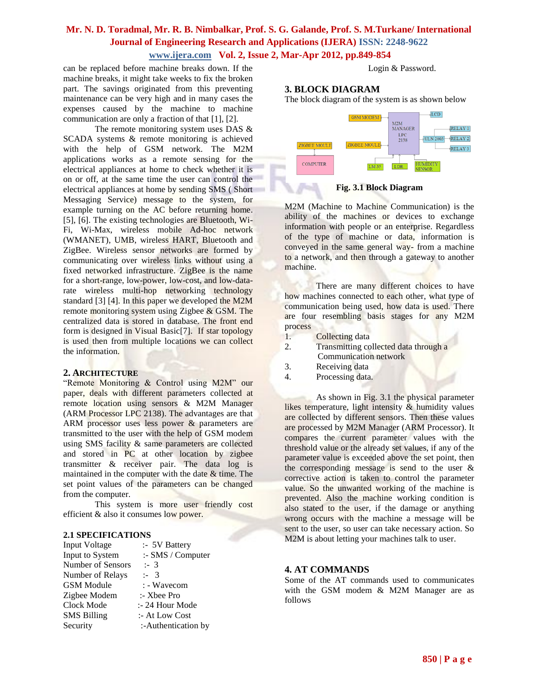can be replaced before machine breaks down. If the machine breaks, it might take weeks to fix the broken part. The savings originated from this preventing maintenance can be very high and in many cases the expenses caused by the machine to machine communication are only a fraction of that [1], [2].

The remote monitoring system uses DAS & SCADA systems & remote monitoring is achieved with the help of GSM network. The M2M applications works as a remote sensing for the electrical appliances at home to check whether it is on or off, at the same time the user can control the electrical appliances at home by sending SMS ( Short Messaging Service) message to the system, for example turning on the AC before returning home. [5], [6]. The existing technologies are Bluetooth, Wi-Fi, Wi-Max, wireless mobile Ad-hoc network (WMANET), UMB, wireless HART, Bluetooth and ZigBee. Wireless sensor networks are formed by communicating over wireless links without using a fixed networked infrastructure. ZigBee is the name for a short-range, low-power, low-cost, and low-datarate wireless multi-hop networking technology standard [3] [4]. In this paper we developed the M2M remote monitoring system using Zigbee & GSM. The centralized data is stored in database. The front end form is designed in Visual Basic[7]. If star topology is used then from multiple locations we can collect the information.

#### **2. ARCHITECTURE**

"Remote Monitoring & Control using M2M" our paper, deals with different parameters collected at remote location using sensors & M2M Manager (ARM Processor LPC 2138). The advantages are that ARM processor uses less power & parameters are transmitted to the user with the help of GSM modem using SMS facility & same parameters are collected and stored in PC at other location by zigbee transmitter & receiver pair. The data log is maintained in the computer with the date & time. The set point values of the parameters can be changed from the computer.

This system is more user friendly cost efficient & also it consumes low power.

#### **2.1 SPECIFICATIONS**

| Input Voltage      | :- 5V Battery       |
|--------------------|---------------------|
| Input to System    | :- SMS / Computer   |
| Number of Sensors  | : 3                 |
| Number of Relays   | $: -3$              |
| <b>GSM</b> Module  | : - Wavecom         |
| Zigbee Modem       | $:$ Xbee Pro        |
| Clock Mode         | :- 24 Hour Mode     |
| <b>SMS Billing</b> | :- At Low Cost      |
| Security           | :-Authentication by |

Login & Password.

### **3. BLOCK DIAGRAM**

The block diagram of the system is as shown below



**Fig. 3.1 Block Diagram**

M2M (Machine to Machine Communication) is the ability of the machines or devices to exchange information with people or an enterprise. Regardless of the type of machine or data, information is conveyed in the same general way- from a machine to a network, and then through a gateway to another machine.

There are many different choices to have how machines connected to each other, what type of communication being used, how data is used. There are four resembling basis stages for any M2M process

- 1. Collecting data
- 2. Transmitting collected data through a Communication network
- 3. Receiving data
- 4. Processing data.

As shown in Fig. 3.1 the physical parameter likes temperature, light intensity & humidity values are collected by different sensors. Then these values are processed by M2M Manager (ARM Processor). It compares the current parameter values with the threshold value or the already set values, if any of the parameter value is exceeded above the set point, then the corresponding message is send to the user  $\&$ corrective action is taken to control the parameter value. So the unwanted working of the machine is prevented. Also the machine working condition is also stated to the user, if the damage or anything wrong occurs with the machine a message will be sent to the user, so user can take necessary action. So M2M is about letting your machines talk to user.

#### **4. AT COMMANDS**

Some of the AT commands used to communicates with the GSM modem & M2M Manager are as follows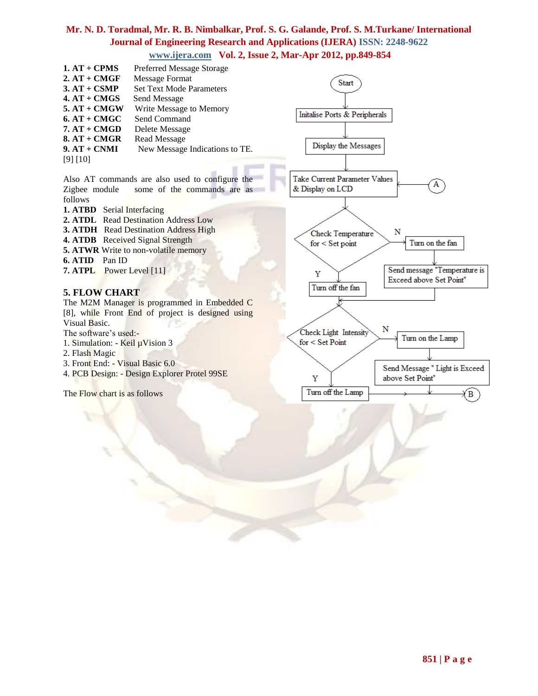| $1. AT + CPMS$    | <b>Preferred Message Storage</b> |                               |
|-------------------|----------------------------------|-------------------------------|
| $2. A T + C M GF$ | Message Format                   | Start                         |
| $3. AT + CSMP$    | <b>Set Text Mode Parameters</b>  |                               |
| $4. AT + CMGS$    | Send Message                     |                               |
| $5. AT + CMGW$    | Write Message to Memory          |                               |
| $6. AT + CMGC$    | Send Command                     | Initalise Ports & Peripherals |
| $7. AT + CMGD$    | Delete Message                   |                               |
| $8. A T + C M GR$ | Read Message                     |                               |
| $9. AT + CNMI$    | New Message Indications to TE.   | Display the Messages          |
| [9] [10]          |                                  |                               |
|                   |                                  |                               |

Also AT commands are also used to configure the Zigbee module some of the commands are as follows

- **1. ATBD** Serial Interfacing
- **2. ATDL** Read Destination Address Low
- **3. ATDH** Read Destination Address High
- **4. ATDB** Received Signal Strength
- **5. ATWR** Write to non-volatile memory
- **6. ATID** Pan ID
- **7. ATPL** Power Level [11]

#### **5. FLOW CHART**

The M2M Manager is programmed in Embedded C [8], while Front End of project is designed using Visual Basic.

The software's used:-

- 1. Simulation: Keil µVision 3
- 2. Flash Magic
- 3. Front End: Visual Basic 6.0
- 4. PCB Design: Design Explorer Protel 99SE

The Flow chart is as follows

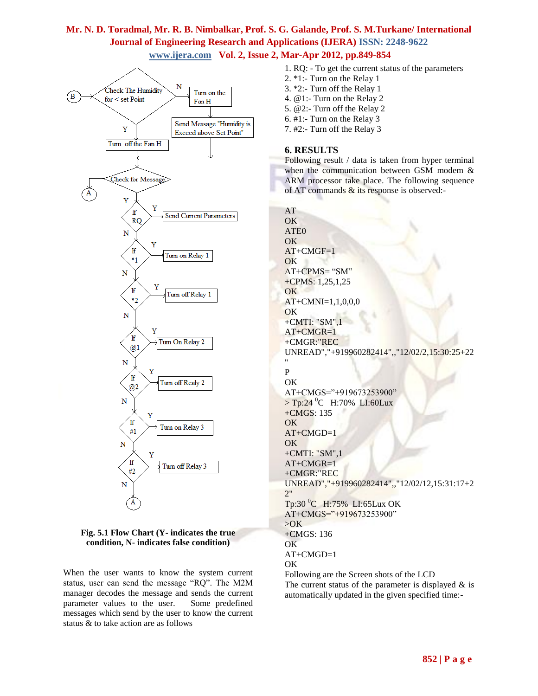



When the user wants to know the system current status, user can send the message "RQ". The M2M manager decodes the message and sends the current parameter values to the user. Some predefined messages which send by the user to know the current status & to take action are as follows

1. RQ: - To get the current status of the parameters 2. \*1:- Turn on the Relay 1 3. \*2:- Turn off the Relay 1 4. @1:- Turn on the Relay 2 5. @2:- Turn off the Relay 2 6. #1:- Turn on the Relay 3 7. #2:- Turn off the Relay 3

### **6. RESULTS**

Following result / data is taken from hyper terminal when the communication between GSM modem & ARM processor take place. The following sequence of AT commands & its response is observed:-

AT OK ATE0 OK AT+CMGF=1 OK AT+CPMS= "SM" +CPMS: 1,25,1,25 OK AT+CMNI=1,1,0,0,0 OK +CMTI: "SM",1  $AT+CMGR=1$ +CMGR:"REC UNREAD","+919960282414",,"12/02/2,15:30:25+22 " P OK AT+CMGS="+919673253900"  $>$  Tp:24 <sup>0</sup>C H:70% LI:60Lux +CMGS: 135 OK AT+CMGD=1 OK +CMTI: "SM",1 AT+CMGR=1 +CMGR:"REC UNREAD","+919960282414",,"12/02/12,15:31:17+2 2" Tp:30 <sup>0</sup>C H:75% LI:65Lux OK AT+CMGS="+919673253900" >OK +CMGS: 136 OK AT+CMGD=1 OK Following are the Screen shots of the LCD The current status of the parameter is displayed  $\&$  is automatically updated in the given specified time:-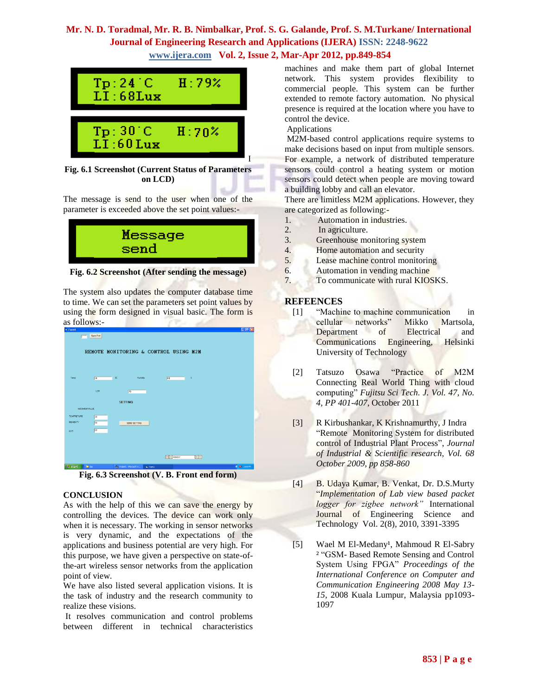

**Fig. 6.1 Screenshot (Current Status of Parameters on LCD)**

The message is send to the user when one of the parameter is exceeded above the set point values:-



**Fig. 6.2 Screenshot (After sending the message)**

The system also updates the computer database time to time. We can set the parameters set point values by using the form designed in visual basic. The form is as follows:-

| S. Form1                                                          | $\Box$ e $\times$                                                      |
|-------------------------------------------------------------------|------------------------------------------------------------------------|
| Open Port<br>п                                                    |                                                                        |
|                                                                   |                                                                        |
| REMOTE MONITORING & CONTROL USING M2M                             |                                                                        |
|                                                                   |                                                                        |
|                                                                   |                                                                        |
|                                                                   |                                                                        |
| Temp<br>$_{\rm oc}$<br>$\sqrt{24}$<br>Hunidity.<br>59             | $\approx$                                                              |
|                                                                   |                                                                        |
| LDR.<br>$\sqrt{70}$                                               |                                                                        |
| <b>SETTING</b>                                                    |                                                                        |
| MAXIMUM VALUE                                                     |                                                                        |
| TEMPRETURE                                                        |                                                                        |
| $\overline{30}$<br><b>HUMIDITY</b><br>$\sqrt{50}$<br>SEND SETTING |                                                                        |
| 60                                                                |                                                                        |
| LDR                                                               |                                                                        |
|                                                                   |                                                                        |
|                                                                   |                                                                        |
|                                                                   | $\blacktriangleright$ $\blacktriangleright$ $\vdash$<br>$ 4 $ 4 Adodc2 |
| <b>Contract Contract Contract Contract</b><br><b>Contract</b>     | about 1970.                                                            |

**Fig. 6.3 Screenshot (V. B. Front end form)**

### **CONCLUSION**

As with the help of this we can save the energy by controlling the devices. The device can work only when it is necessary. The working in sensor networks is very dynamic, and the expectations of the applications and business potential are very high. For this purpose, we have given a perspective on state-ofthe-art wireless sensor networks from the application point of view.

We have also listed several application visions. It is the task of industry and the research community to realize these visions.

It resolves communication and control problems between different in technical characteristics machines and make them part of global Internet network. This system provides flexibility to commercial people. This system can be further extended to remote factory automation. No physical presence is required at the location where you have to control the device.

Applications

M2M-based control applications require systems to make decisions based on input from multiple sensors. For example, a network of distributed temperature sensors could control a heating system or motion sensors could detect when people are moving toward a building lobby and call an elevator.

There are limitless M2M applications. However, they are categorized as following:-

- 1. Automation in industries.
- 2. In agriculture.
- 3. Greenhouse monitoring system
- 4. Home automation and security
- 5. Lease machine control monitoring
- 6. Automation in vending machine
- 7. To communicate with rural KIOSKS.

### **REFEENCES**

- [1] "Machine to machine communication in cellular networks" Mikko Martsola, Department of Electrical and Communications Engineering, Helsinki University of Technology
- [2] Tatsuzo Osawa "Practice of M2M Connecting Real World Thing with cloud computing" *Fujitsu Sci Tech. J. Vol. 47, No. 4, PP 401-407*, October 2011
- [3] R Kirbushankar, K Krishnamurthy, J Indra "Remote Monitoring System for distributed control of Industrial Plant Process", *Journal of Industrial & Scientific research, Vol. 68 October 2009, pp 858-860*
- [4] B. Udaya Kumar, B. Venkat, Dr. D.S.Murty "*Implementation of Lab view based packet logger for zigbee network"* International Journal of Engineering Science and Technology Vol. 2(8), 2010, 3391-3395
- [5] Wael M El-Medany<sup>1</sup>, Mahmoud R El-Sabry ² "GSM- Based Remote Sensing and Control System Using FPGA" *Proceedings of the International Conference on Computer and Communication Engineering 2008 May 13- 15*, 2008 Kuala Lumpur, Malaysia pp1093- 1097